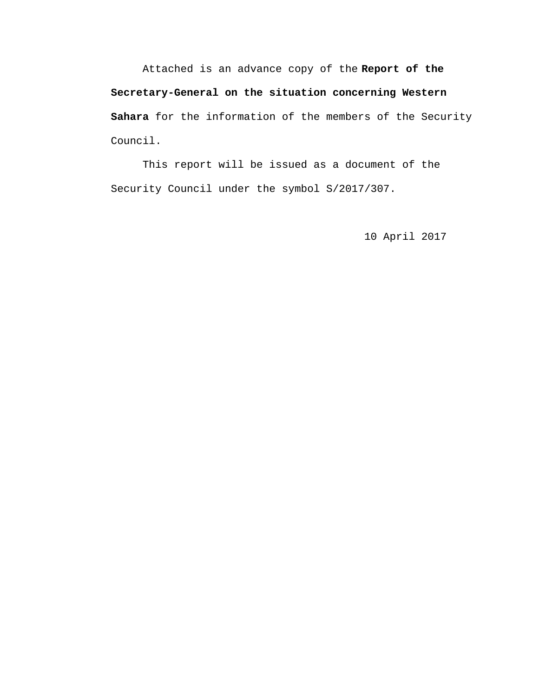Attached is an advance copy of the **Report of the Secretary-General on the situation concerning Western Sahara** for the information of the members of the Security Council.

 This report will be issued as a document of the Security Council under the symbol S/2017/307.

10 April 2017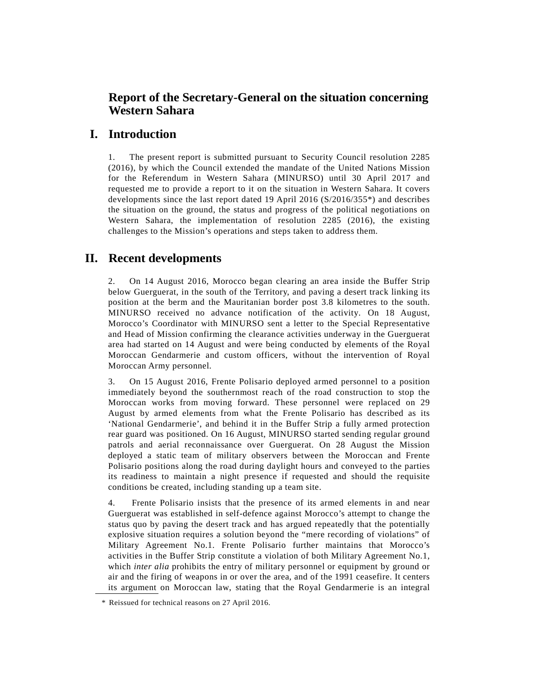## **Report of the Secretary-General on the situation concerning Western Sahara**

### **I. Introduction**

1. The present report is submitted pursuant to Security Council resolution 2285 (2016), by which the Council extended the mandate of the United Nations Mission for the Referendum in Western Sahara (MINURSO) until 30 April 2017 and requested me to provide a report to it on the situation in Western Sahara. It covers developments since the last report dated 19 April 2016 [\(S/2016/355\\*\)](http://undocs.org/S/2015/246) and describes the situation on the ground, the status and progress of the political negotiations on Western Sahara, the implementation of resolution 2285 (2016), the existing challenges to the Mission's operations and steps taken to address them.

## **II. Recent developments**

2. On 14 August 2016, Morocco began clearing an area inside the Buffer Strip below Guerguerat, in the south of the Territory, and paving a desert track linking its position at the berm and the Mauritanian border post 3.8 kilometres to the south. MINURSO received no advance notification of the activity. On 18 August, Morocco's Coordinator with MINURSO sent a letter to the Special Representative and Head of Mission confirming the clearance activities underway in the Guerguerat area had started on 14 August and were being conducted by elements of the Royal Moroccan Gendarmerie and custom officers, without the intervention of Royal Moroccan Army personnel.

3. On 15 August 2016, Frente Polisario deployed armed personnel to a position immediately beyond the southernmost reach of the road construction to stop the Moroccan works from moving forward. These personnel were replaced on 29 August by armed elements from what the Frente Polisario has described as its 'National Gendarmerie', and behind it in the Buffer Strip a fully armed protection rear guard was positioned. On 16 August, MINURSO started sending regular ground patrols and aerial reconnaissance over Guerguerat. On 28 August the Mission deployed a static team of military observers between the Moroccan and Frente Polisario positions along the road during daylight hours and conveyed to the parties its readiness to maintain a night presence if requested and should the requisite conditions be created, including standing up a team site.

4. Frente Polisario insists that the presence of its armed elements in and near Guerguerat was established in self-defence against Morocco's attempt to change the status quo by paving the desert track and has argued repeatedly that the potentially explosive situation requires a solution beyond the "mere recording of violations" of Military Agreement No.1. Frente Polisario further maintains that Morocco's activities in the Buffer Strip constitute a violation of both Military Agreement No.1, which *inter alia* prohibits the entry of military personnel or equipment by ground or air and the firing of weapons in or over the area, and of the 1991 ceasefire. It centers its argument on Moroccan law, stating that the Royal Gendarmerie is an integral

<sup>\*</sup> Reissued for technical reasons on 27 April 2016.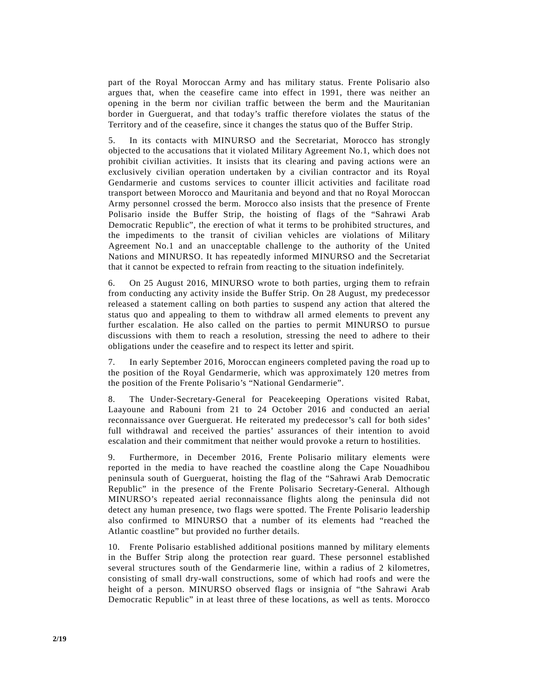part of the Royal Moroccan Army and has military status. Frente Polisario also argues that, when the ceasefire came into effect in 1991, there was neither an opening in the berm nor civilian traffic between the berm and the Mauritanian border in Guerguerat, and that today's traffic therefore violates the status of the Territory and of the ceasefire, since it changes the status quo of the Buffer Strip.

5. In its contacts with MINURSO and the Secretariat, Morocco has strongly objected to the accusations that it violated Military Agreement No.1, which does not prohibit civilian activities. It insists that its clearing and paving actions were an exclusively civilian operation undertaken by a civilian contractor and its Royal Gendarmerie and customs services to counter illicit activities and facilitate road transport between Morocco and Mauritania and beyond and that no Royal Moroccan Army personnel crossed the berm. Morocco also insists that the presence of Frente Polisario inside the Buffer Strip, the hoisting of flags of the "Sahrawi Arab Democratic Republic", the erection of what it terms to be prohibited structures, and the impediments to the transit of civilian vehicles are violations of Military Agreement No.1 and an unacceptable challenge to the authority of the United Nations and MINURSO. It has repeatedly informed MINURSO and the Secretariat that it cannot be expected to refrain from reacting to the situation indefinitely.

6. On 25 August 2016, MINURSO wrote to both parties, urging them to refrain from conducting any activity inside the Buffer Strip. On 28 August, my predecessor released a statement calling on both parties to suspend any action that altered the status quo and appealing to them to withdraw all armed elements to prevent any further escalation. He also called on the parties to permit MINURSO to pursue discussions with them to reach a resolution, stressing the need to adhere to their obligations under the ceasefire and to respect its letter and spirit.

7. In early September 2016, Moroccan engineers completed paving the road up to the position of the Royal Gendarmerie, which was approximately 120 metres from the position of the Frente Polisario's "National Gendarmerie".

8. The Under-Secretary-General for Peacekeeping Operations visited Rabat, Laayoune and Rabouni from 21 to 24 October 2016 and conducted an aerial reconnaissance over Guerguerat. He reiterated my predecessor's call for both sides' full withdrawal and received the parties' assurances of their intention to avoid escalation and their commitment that neither would provoke a return to hostilities.

9. Furthermore, in December 2016, Frente Polisario military elements were reported in the media to have reached the coastline along the Cape Nouadhibou peninsula south of Guerguerat, hoisting the flag of the "Sahrawi Arab Democratic Republic" in the presence of the Frente Polisario Secretary-General. Although MINURSO's repeated aerial reconnaissance flights along the peninsula did not detect any human presence, two flags were spotted. The Frente Polisario leadership also confirmed to MINURSO that a number of its elements had "reached the Atlantic coastline" but provided no further details.

10. Frente Polisario established additional positions manned by military elements in the Buffer Strip along the protection rear guard. These personnel established several structures south of the Gendarmerie line, within a radius of 2 kilometres, consisting of small dry-wall constructions, some of which had roofs and were the height of a person. MINURSO observed flags or insignia of "the Sahrawi Arab Democratic Republic" in at least three of these locations, as well as tents. Morocco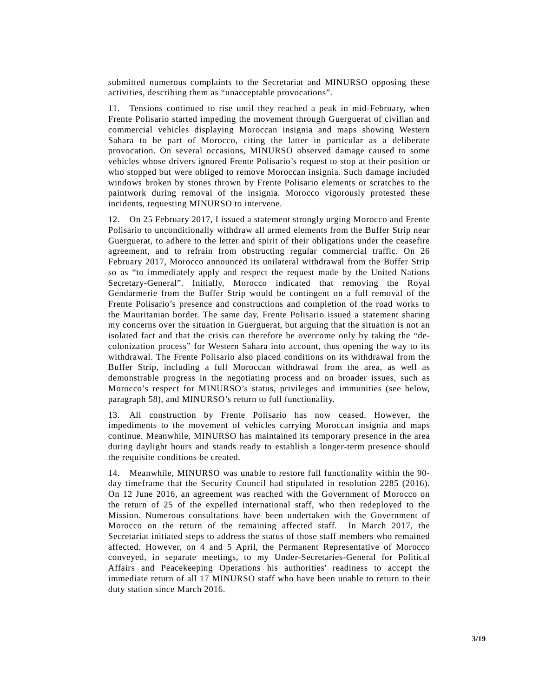submitted numerous complaints to the Secretariat and MINURSO opposing these activities, describing them as "unacceptable provocations".

11. Tensions continued to rise until they reached a peak in mid-February, when Frente Polisario started impeding the movement through Guerguerat of civilian and commercial vehicles displaying Moroccan insignia and maps showing Western Sahara to be part of Morocco, citing the latter in particular as a deliberate provocation. On several occasions, MINURSO observed damage caused to some vehicles whose drivers ignored Frente Polisario's request to stop at their position or who stopped but were obliged to remove Moroccan insignia. Such damage included windows broken by stones thrown by Frente Polisario elements or scratches to the paintwork during removal of the insignia. Morocco vigorously protested these incidents, requesting MINURSO to intervene.

12. On 25 February 2017, I issued a statement strongly urging Morocco and Frente Polisario to unconditionally withdraw all armed elements from the Buffer Strip near Guerguerat, to adhere to the letter and spirit of their obligations under the ceasefire agreement, and to refrain from obstructing regular commercial traffic. On 26 February 2017, Morocco announced its unilateral withdrawal from the Buffer Strip so as "to immediately apply and respect the request made by the United Nations Secretary-General". Initially, Morocco indicated that removing the Royal Gendarmerie from the Buffer Strip would be contingent on a full removal of the Frente Polisario's presence and constructions and completion of the road works to the Mauritanian border. The same day, Frente Polisario issued a statement sharing my concerns over the situation in Guerguerat, but arguing that the situation is not an isolated fact and that the crisis can therefore be overcome only by taking the "decolonization process" for Western Sahara into account, thus opening the way to its withdrawal. The Frente Polisario also placed conditions on its withdrawal from the Buffer Strip, including a full Moroccan withdrawal from the area, as well as demonstrable progress in the negotiating process and on broader issues, such as Morocco's respect for MINURSO's status, privileges and immunities (see below, paragraph 58), and MINURSO's return to full functionality.

13. All construction by Frente Polisario has now ceased. However, the impediments to the movement of vehicles carrying Moroccan insignia and maps continue. Meanwhile, MINURSO has maintained its temporary presence in the area during daylight hours and stands ready to establish a longer-term presence should the requisite conditions be created.

14. Meanwhile, MINURSO was unable to restore full functionality within the 90 day timeframe that the Security Council had stipulated in resolution 2285 (2016). On 12 June 2016, an agreement was reached with the Government of Morocco on the return of 25 of the expelled international staff, who then redeployed to the Mission. Numerous consultations have been undertaken with the Government of Morocco on the return of the remaining affected staff. In March 2017, the Secretariat initiated steps to address the status of those staff members who remained affected. However, on 4 and 5 April, the Permanent Representative of Morocco conveyed, in separate meetings, to my Under-Secretaries-General for Political Affairs and Peacekeeping Operations his authorities' readiness to accept the immediate return of all 17 MINURSO staff who have been unable to return to their duty station since March 2016.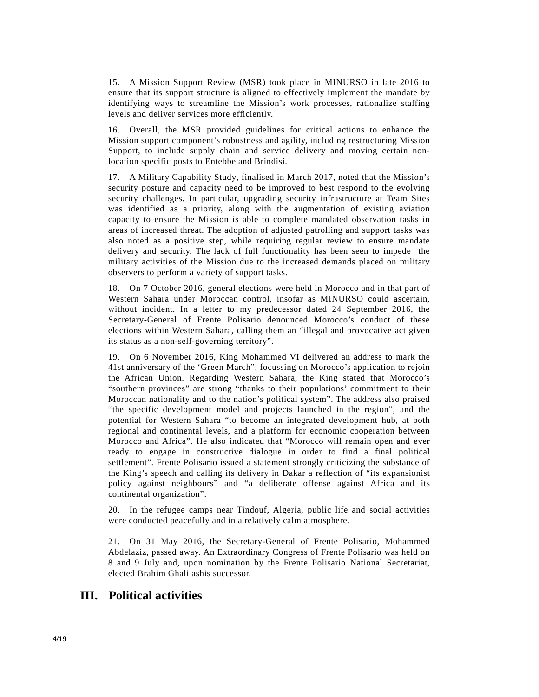15. A Mission Support Review (MSR) took place in MINURSO in late 2016 to ensure that its support structure is aligned to effectively implement the mandate by identifying ways to streamline the Mission's work processes, rationalize staffing levels and deliver services more efficiently.

16. Overall, the MSR provided guidelines for critical actions to enhance the Mission support component's robustness and agility, including restructuring Mission Support, to include supply chain and service delivery and moving certain nonlocation specific posts to Entebbe and Brindisi.

17. A Military Capability Study, finalised in March 2017, noted that the Mission's security posture and capacity need to be improved to best respond to the evolving security challenges. In particular, upgrading security infrastructure at Team Sites was identified as a priority, along with the augmentation of existing aviation capacity to ensure the Mission is able to complete mandated observation tasks in areas of increased threat. The adoption of adjusted patrolling and support tasks was also noted as a positive step, while requiring regular review to ensure mandate delivery and security. The lack of full functionality has been seen to impede the military activities of the Mission due to the increased demands placed on military observers to perform a variety of support tasks.

18. On 7 October 2016, general elections were held in Morocco and in that part of Western Sahara under Moroccan control, insofar as MINURSO could ascertain, without incident. In a letter to my predecessor dated 24 September 2016, the Secretary-General of Frente Polisario denounced Morocco's conduct of these elections within Western Sahara, calling them an "illegal and provocative act given its status as a non-self-governing territory".

19. On 6 November 2016, King Mohammed VI delivered an address to mark the 41st anniversary of the 'Green March", focussing on Morocco's application to rejoin the African Union. Regarding Western Sahara, the King stated that Morocco's "southern provinces" are strong "thanks to their populations' commitment to their Moroccan nationality and to the nation's political system". The address also praised "the specific development model and projects launched in the region", and the potential for Western Sahara "to become an integrated development hub, at both regional and continental levels, and a platform for economic cooperation between Morocco and Africa". He also indicated that "Morocco will remain open and ever ready to engage in constructive dialogue in order to find a final political settlement". Frente Polisario issued a statement strongly criticizing the substance of the King's speech and calling its delivery in Dakar a reflection of "its expansionist policy against neighbours" and "a deliberate offense against Africa and its continental organization".

20. In the refugee camps near Tindouf, Algeria, public life and social activities were conducted peacefully and in a relatively calm atmosphere.

21. On 31 May 2016, the Secretary-General of Frente Polisario, Mohammed Abdelaziz, passed away. An Extraordinary Congress of Frente Polisario was held on 8 and 9 July and, upon nomination by the Frente Polisario National Secretariat, elected Brahim Ghali ashis successor.

## **III. Political activities**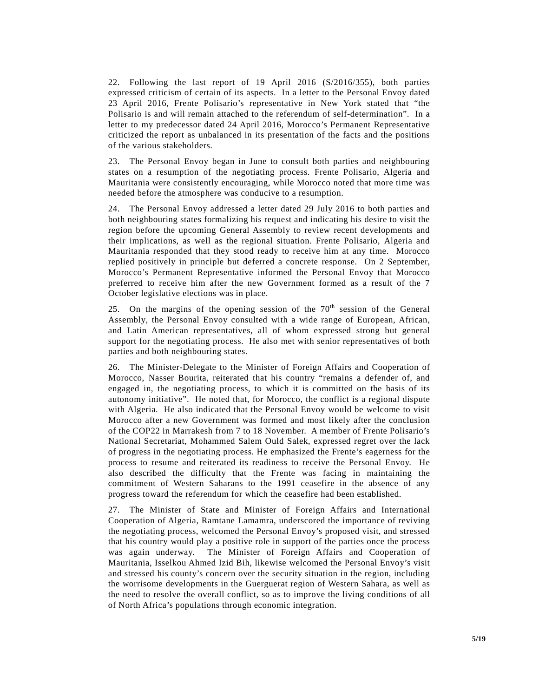22. Following the last report of 19 April 2016 (S/2016/355), both parties expressed criticism of certain of its aspects. In a letter to the Personal Envoy dated 23 April 2016, Frente Polisario's representative in New York stated that "the Polisario is and will remain attached to the referendum of self-determination". In a letter to my predecessor dated 24 April 2016, Morocco's Permanent Representative criticized the report as unbalanced in its presentation of the facts and the positions of the various stakeholders.

23. The Personal Envoy began in June to consult both parties and neighbouring states on a resumption of the negotiating process. Frente Polisario, Algeria and Mauritania were consistently encouraging, while Morocco noted that more time was needed before the atmosphere was conducive to a resumption.

24. The Personal Envoy addressed a letter dated 29 July 2016 to both parties and both neighbouring states formalizing his request and indicating his desire to visit the region before the upcoming General Assembly to review recent developments and their implications, as well as the regional situation. Frente Polisario, Algeria and Mauritania responded that they stood ready to receive him at any time. Morocco replied positively in principle but deferred a concrete response. On 2 September, Morocco's Permanent Representative informed the Personal Envoy that Morocco preferred to receive him after the new Government formed as a result of the 7 October legislative elections was in place.

25. On the margins of the opening session of the  $70<sup>th</sup>$  session of the General Assembly, the Personal Envoy consulted with a wide range of European, African, and Latin American representatives, all of whom expressed strong but general support for the negotiating process. He also met with senior representatives of both parties and both neighbouring states.

26. The Minister-Delegate to the Minister of Foreign Affairs and Cooperation of Morocco, Nasser Bourita, reiterated that his country "remains a defender of, and engaged in, the negotiating process, to which it is committed on the basis of its autonomy initiative". He noted that, for Morocco, the conflict is a regional dispute with Algeria. He also indicated that the Personal Envoy would be welcome to visit Morocco after a new Government was formed and most likely after the conclusion of the COP22 in Marrakesh from 7 to 18 November. A member of Frente Polisario's National Secretariat, Mohammed Salem Ould Salek, expressed regret over the lack of progress in the negotiating process. He emphasized the Frente's eagerness for the process to resume and reiterated its readiness to receive the Personal Envoy. He also described the difficulty that the Frente was facing in maintaining the commitment of Western Saharans to the 1991 ceasefire in the absence of any progress toward the referendum for which the ceasefire had been established.

27. The Minister of State and Minister of Foreign Affairs and International Cooperation of Algeria, Ramtane Lamamra, underscored the importance of reviving the negotiating process, welcomed the Personal Envoy's proposed visit, and stressed that his country would play a positive role in support of the parties once the process was again underway. The Minister of Foreign Affairs and Cooperation of Mauritania, Isselkou Ahmed Izid Bih, likewise welcomed the Personal Envoy's visit and stressed his county's concern over the security situation in the region, including the worrisome developments in the Guerguerat region of Western Sahara, as well as the need to resolve the overall conflict, so as to improve the living conditions of all of North Africa's populations through economic integration.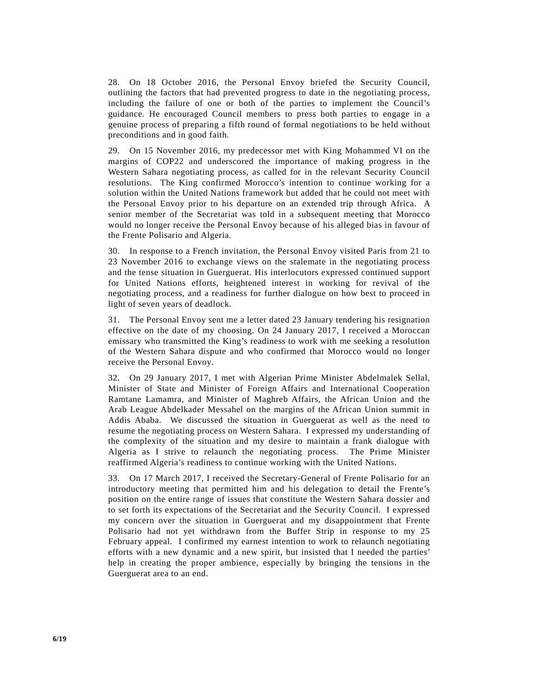28. On 18 October 2016, the Personal Envoy briefed the Security Council, outlining the factors that had prevented progress to date in the negotiating process, including the failure of one or both of the parties to implement the Council's guidance. He encouraged Council members to press both parties to engage in a genuine process of preparing a fifth round of formal negotiations to be held without preconditions and in good faith.

29. On 15 November 2016, my predecessor met with King Mohammed VI on the margins of COP22 and underscored the importance of making progress in the Western Sahara negotiating process, as called for in the relevant Security Council resolutions. The King confirmed Morocco's intention to continue working for a solution within the United Nations framework but added that he could not meet with the Personal Envoy prior to his departure on an extended trip through Africa. A senior member of the Secretariat was told in a subsequent meeting that Morocco would no longer receive the Personal Envoy because of his alleged bias in favour of the Frente Polisario and Algeria.

30. In response to a French invitation, the Personal Envoy visited Paris from 21 to 23 November 2016 to exchange views on the stalemate in the negotiating process and the tense situation in Guerguerat. His interlocutors expressed continued support for United Nations efforts, heightened interest in working for revival of the negotiating process, and a readiness for further dialogue on how best to proceed in light of seven years of deadlock.

31. The Personal Envoy sent me a letter dated 23 January tendering his resignation effective on the date of my choosing. On 24 January 2017, I received a Moroccan emissary who transmitted the King's readiness to work with me seeking a resolution of the Western Sahara dispute and who confirmed that Morocco would no longer receive the Personal Envoy.

32. On 29 January 2017, I met with Algerian Prime Minister Abdelmalek Sellal, Minister of State and Minister of Foreign Affairs and International Cooperation Ramtane Lamamra, and Minister of Maghreb Affairs, the African Union and the Arab League Abdelkader Messahel on the margins of the African Union summit in Addis Ababa. We discussed the situation in Guerguerat as well as the need to resume the negotiating process on Western Sahara. I expressed my understanding of the complexity of the situation and my desire to maintain a frank dialogue with Algeria as I strive to relaunch the negotiating process. The Prime Minister reaffirmed Algeria's readiness to continue working with the United Nations.

33. On 17 March 2017, I received the Secretary-General of Frente Polisario for an introductory meeting that permitted him and his delegation to detail the Frente's position on the entire range of issues that constitute the Western Sahara dossier and to set forth its expectations of the Secretariat and the Security Council. I expressed my concern over the situation in Guerguerat and my disappointment that Frente Polisario had not yet withdrawn from the Buffer Strip in response to my 25 February appeal. I confirmed my earnest intention to work to relaunch negotiating efforts with a new dynamic and a new spirit, but insisted that I needed the parties' help in creating the proper ambience, especially by bringing the tensions in the Guerguerat area to an end.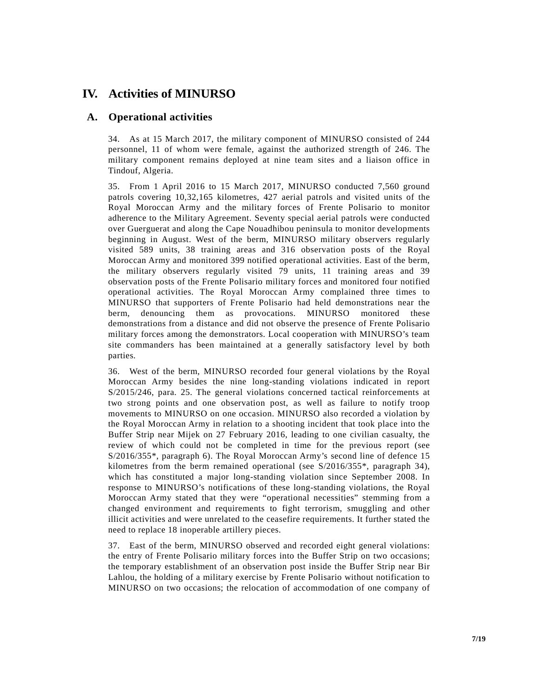# **IV. Activities of MINURSO**

### **A. Operational activities**

34. As at 15 March 2017, the military component of MINURSO consisted of 244 personnel, 11 of whom were female, against the authorized strength of 246. The military component remains deployed at nine team sites and a liaison office in Tindouf, Algeria.

35. From 1 April 2016 to 15 March 2017, MINURSO conducted 7,560 ground patrols covering 10,32,165 kilometres, 427 aerial patrols and visited units of the Royal Moroccan Army and the military forces of Frente Polisario to monitor adherence to the Military Agreement. Seventy special aerial patrols were conducted over Guerguerat and along the Cape Nouadhibou peninsula to monitor developments beginning in August. West of the berm, MINURSO military observers regularly visited 589 units, 38 training areas and 316 observation posts of the Royal Moroccan Army and monitored 399 notified operational activities. East of the berm, the military observers regularly visited 79 units, 11 training areas and 39 observation posts of the Frente Polisario military forces and monitored four notified operational activities. The Royal Moroccan Army complained three times to MINURSO that supporters of Frente Polisario had held demonstrations near the berm, denouncing them as provocations. MINURSO monitored these demonstrations from a distance and did not observe the presence of Frente Polisario military forces among the demonstrators. Local cooperation with MINURSO's team site commanders has been maintained at a generally satisfactory level by both parties.

36. West of the berm, MINURSO recorded four general violations by the Royal Moroccan Army besides the nine long-standing violations indicated in report [S/2015/246,](http://undocs.org/S/2015/246) para. 25. The general violations concerned tactical reinforcements at two strong points and one observation post, as well as failure to notify troop movements to MINURSO on one occasion. MINURSO also recorded a violation by the Royal Moroccan Army in relation to a shooting incident that took place into the Buffer Strip near Mijek on 27 February 2016, leading to one civilian casualty, the review of which could not be completed in time for the previous report (see S/2016/355\*, paragraph 6). The Royal Moroccan Army's second line of defence 15 kilometres from the berm remained operational (see  $S/2016/355^*$ , paragraph 34), which has constituted a major long-standing violation since September 2008. In response to MINURSO's notifications of these long-standing violations, the Royal Moroccan Army stated that they were "operational necessities" stemming from a changed environment and requirements to fight terrorism, smuggling and other illicit activities and were unrelated to the ceasefire requirements. It further stated the need to replace 18 inoperable artillery pieces.

37. East of the berm, MINURSO observed and recorded eight general violations: the entry of Frente Polisario military forces into the Buffer Strip on two occasions; the temporary establishment of an observation post inside the Buffer Strip near Bir Lahlou, the holding of a military exercise by Frente Polisario without notification to MINURSO on two occasions; the relocation of accommodation of one company of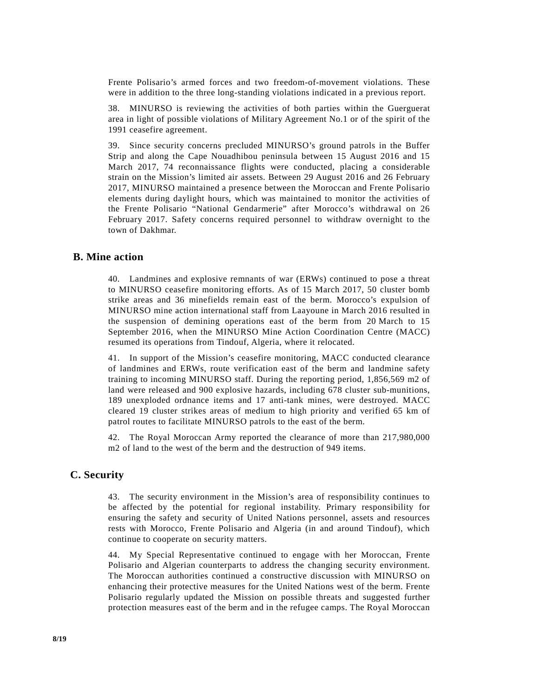Frente Polisario's armed forces and two freedom-of-movement violations. These were in addition to the three long-standing violations indicated in a previous report.

38. MINURSO is reviewing the activities of both parties within the Guerguerat area in light of possible violations of Military Agreement No.1 or of the spirit of the 1991 ceasefire agreement.

39. Since security concerns precluded MINURSO's ground patrols in the Buffer Strip and along the Cape Nouadhibou peninsula between 15 August 2016 and 15 March 2017, 74 reconnaissance flights were conducted, placing a considerable strain on the Mission's limited air assets. Between 29 August 2016 and 26 February 2017, MINURSO maintained a presence between the Moroccan and Frente Polisario elements during daylight hours, which was maintained to monitor the activities of the Frente Polisario "National Gendarmerie" after Morocco's withdrawal on 26 February 2017. Safety concerns required personnel to withdraw overnight to the town of Dakhmar.

#### **B. Mine action**

40. Landmines and explosive remnants of war (ERWs) continued to pose a threat to MINURSO ceasefire monitoring efforts. As of 15 March 2017, 50 cluster bomb strike areas and 36 minefields remain east of the berm. Morocco's expulsion of MINURSO mine action international staff from Laayoune in March 2016 resulted in the suspension of demining operations east of the berm from 20 March to 15 September 2016, when the MINURSO Mine Action Coordination Centre (MACC) resumed its operations from Tindouf, Algeria, where it relocated.

41. In support of the Mission's ceasefire monitoring, MACC conducted clearance of landmines and ERWs, route verification east of the berm and landmine safety training to incoming MINURSO staff. During the reporting period, 1,856,569 m2 of land were released and 900 explosive hazards, including 678 cluster sub-munitions, 189 unexploded ordnance items and 17 anti-tank mines, were destroyed. MACC cleared 19 cluster strikes areas of medium to high priority and verified 65 km of patrol routes to facilitate MINURSO patrols to the east of the berm.

42. The Royal Moroccan Army reported the clearance of more than 217,980,000 m2 of land to the west of the berm and the destruction of 949 items.

#### **C. Security**

43. The security environment in the Mission's area of responsibility continues to be affected by the potential for regional instability. Primary responsibility for ensuring the safety and security of United Nations personnel, assets and resources rests with Morocco, Frente Polisario and Algeria (in and around Tindouf), which continue to cooperate on security matters.

44. My Special Representative continued to engage with her Moroccan, Frente Polisario and Algerian counterparts to address the changing security environment. The Moroccan authorities continued a constructive discussion with MINURSO on enhancing their protective measures for the United Nations west of the berm. Frente Polisario regularly updated the Mission on possible threats and suggested further protection measures east of the berm and in the refugee camps. The Royal Moroccan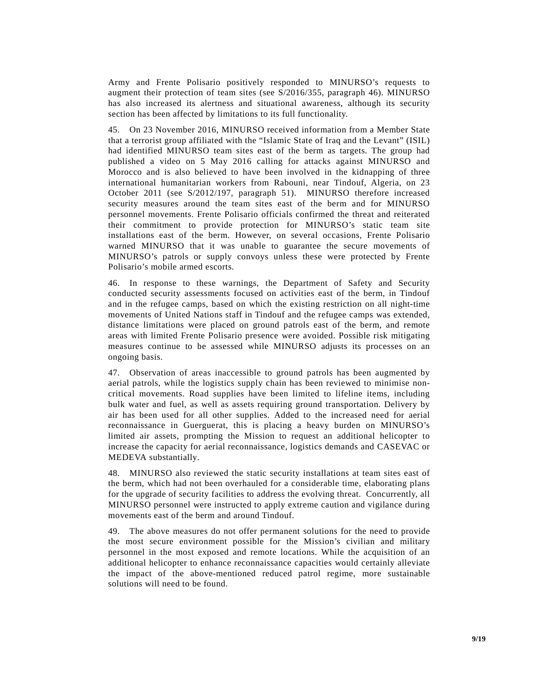Army and Frente Polisario positively responded to MINURSO's requests to augment their protection of team sites (see S/2016/355, paragraph 46). MINURSO has also increased its alertness and situational awareness, although its security section has been affected by limitations to its full functionality.

45. On 23 November 2016, MINURSO received information from a Member State that a terrorist group affiliated with the "Islamic State of Iraq and the Levant" (ISIL) had identified MINURSO team sites east of the berm as targets. The group had published a video on 5 May 2016 calling for attacks against MINURSO and Morocco and is also believed to have been involved in the kidnapping of three international humanitarian workers from Rabouni, near Tindouf, Algeria, on 23 October 2011 (see S/2012/197, paragraph 51). MINURSO therefore increased security measures around the team sites east of the berm and for MINURSO personnel movements. Frente Polisario officials confirmed the threat and reiterated their commitment to provide protection for MINURSO's static team site installations east of the berm. However, on several occasions, Frente Polisario warned MINURSO that it was unable to guarantee the secure movements of MINURSO's patrols or supply convoys unless these were protected by Frente Polisario's mobile armed escorts.

46. In response to these warnings, the Department of Safety and Security conducted security assessments focused on activities east of the berm, in Tindouf and in the refugee camps, based on which the existing restriction on all night-time movements of United Nations staff in Tindouf and the refugee camps was extended, distance limitations were placed on ground patrols east of the berm, and remote areas with limited Frente Polisario presence were avoided. Possible risk mitigating measures continue to be assessed while MINURSO adjusts its processes on an ongoing basis.

47. Observation of areas inaccessible to ground patrols has been augmented by aerial patrols, while the logistics supply chain has been reviewed to minimise noncritical movements. Road supplies have been limited to lifeline items, including bulk water and fuel, as well as assets requiring ground transportation. Delivery by air has been used for all other supplies. Added to the increased need for aerial reconnaissance in Guerguerat, this is placing a heavy burden on MINURSO's limited air assets, prompting the Mission to request an additional helicopter to increase the capacity for aerial reconnaissance, logistics demands and CASEVAC or MEDEVA substantially.

48. MINURSO also reviewed the static security installations at team sites east of the berm, which had not been overhauled for a considerable time, elaborating plans for the upgrade of security facilities to address the evolving threat. Concurrently, all MINURSO personnel were instructed to apply extreme caution and vigilance during movements east of the berm and around Tindouf.

49. The above measures do not offer permanent solutions for the need to provide the most secure environment possible for the Mission's civilian and military personnel in the most exposed and remote locations. While the acquisition of an additional helicopter to enhance reconnaissance capacities would certainly alleviate the impact of the above-mentioned reduced patrol regime, more sustainable solutions will need to be found.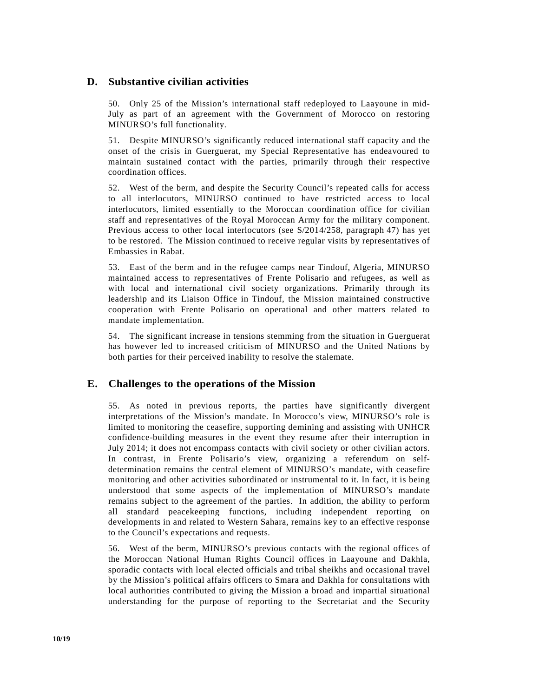#### **D. Substantive civilian activities**

50. Only 25 of the Mission's international staff redeployed to Laayoune in mid-July as part of an agreement with the Government of Morocco on restoring MINURSO's full functionality.

51. Despite MINURSO's significantly reduced international staff capacity and the onset of the crisis in Guerguerat, my Special Representative has endeavoured to maintain sustained contact with the parties, primarily through their respective coordination offices.

52. West of the berm, and despite the Security Council's repeated calls for access to all interlocutors, MINURSO continued to have restricted access to local interlocutors, limited essentially to the Moroccan coordination office for civilian staff and representatives of the Royal Moroccan Army for the military component. Previous access to other local interlocutors (see S/2014/258, paragraph 47) has yet to be restored. The Mission continued to receive regular visits by representatives of Embassies in Rabat.

53. East of the berm and in the refugee camps near Tindouf, Algeria, MINURSO maintained access to representatives of Frente Polisario and refugees, as well as with local and international civil society organizations. Primarily through its leadership and its Liaison Office in Tindouf, the Mission maintained constructive cooperation with Frente Polisario on operational and other matters related to mandate implementation.

54. The significant increase in tensions stemming from the situation in Guerguerat has however led to increased criticism of MINURSO and the United Nations by both parties for their perceived inability to resolve the stalemate.

#### **E. Challenges to the operations of the Mission**

55. As noted in previous reports, the parties have significantly divergent interpretations of the Mission's mandate. In Morocco's view, MINURSO's role is limited to monitoring the ceasefire, supporting demining and assisting with UNHCR confidence-building measures in the event they resume after their interruption in July 2014; it does not encompass contacts with civil society or other civilian actors. In contrast, in Frente Polisario's view, organizing a referendum on selfdetermination remains the central element of MINURSO's mandate, with ceasefire monitoring and other activities subordinated or instrumental to it. In fact, it is being understood that some aspects of the implementation of MINURSO's mandate remains subject to the agreement of the parties. In addition, the ability to perform all standard peacekeeping functions, including independent reporting on developments in and related to Western Sahara, remains key to an effective response to the Council's expectations and requests.

56. West of the berm, MINURSO's previous contacts with the regional offices of the Moroccan National Human Rights Council offices in Laayoune and Dakhla, sporadic contacts with local elected officials and tribal sheikhs and occasional travel by the Mission's political affairs officers to Smara and Dakhla for consultations with local authorities contributed to giving the Mission a broad and impartial situational understanding for the purpose of reporting to the Secretariat and the Security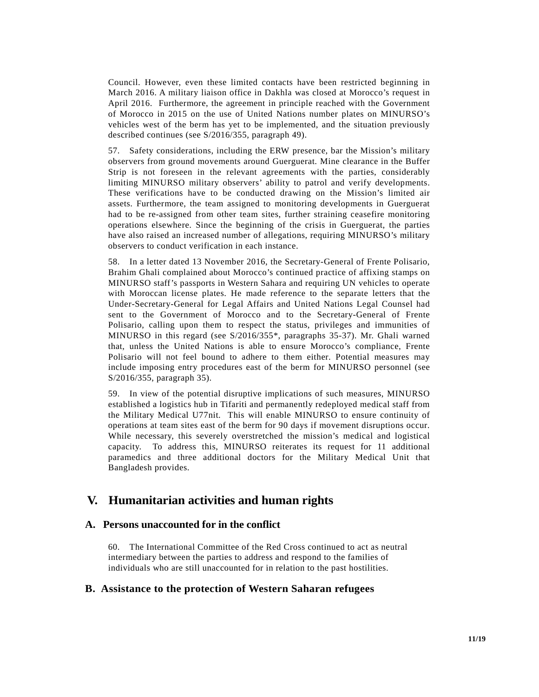Council. However, even these limited contacts have been restricted beginning in March 2016. A military liaison office in Dakhla was closed at Morocco's request in April 2016. Furthermore, the agreement in principle reached with the Government of Morocco in 2015 on the use of United Nations number plates on MINURSO's vehicles west of the berm has yet to be implemented, and the situation previously described continues (see S/2016/355, paragraph 49).

57. Safety considerations, including the ERW presence, bar the Mission's military observers from ground movements around Guerguerat. Mine clearance in the Buffer Strip is not foreseen in the relevant agreements with the parties, considerably limiting MINURSO military observers' ability to patrol and verify developments. These verifications have to be conducted drawing on the Mission's limited air assets. Furthermore, the team assigned to monitoring developments in Guerguerat had to be re-assigned from other team sites, further straining ceasefire monitoring operations elsewhere. Since the beginning of the crisis in Guerguerat, the parties have also raised an increased number of allegations, requiring MINURSO's military observers to conduct verification in each instance.

58. In a letter dated 13 November 2016, the Secretary-General of Frente Polisario, Brahim Ghali complained about Morocco's continued practice of affixing stamps on MINURSO staff's passports in Western Sahara and requiring UN vehicles to operate with Moroccan license plates. He made reference to the separate letters that the Under-Secretary-General for Legal Affairs and United Nations Legal Counsel had sent to the Government of Morocco and to the Secretary-General of Frente Polisario, calling upon them to respect the status, privileges and immunities of MINURSO in this regard (see S/2016/355\*, paragraphs 35-37). Mr. Ghali warned that, unless the United Nations is able to ensure Morocco's compliance, Frente Polisario will not feel bound to adhere to them either. Potential measures may include imposing entry procedures east of the berm for MINURSO personnel (see S/2016/355, paragraph 35).

59. In view of the potential disruptive implications of such measures, MINURSO established a logistics hub in Tifariti and permanently redeployed medical staff from the Military Medical U77nit. This will enable MINURSO to ensure continuity of operations at team sites east of the berm for 90 days if movement disruptions occur. While necessary, this severely overstretched the mission's medical and logistical capacity. To address this, MINURSO reiterates its request for 11 additional paramedics and three additional doctors for the Military Medical Unit that Bangladesh provides.

### **V. Humanitarian activities and human rights**

#### **A. Persons unaccounted for in the conflict**

60. The International Committee of the Red Cross continued to act as neutral intermediary between the parties to address and respond to the families of individuals who are still unaccounted for in relation to the past hostilities.

#### **B. Assistance to the protection of Western Saharan refugees**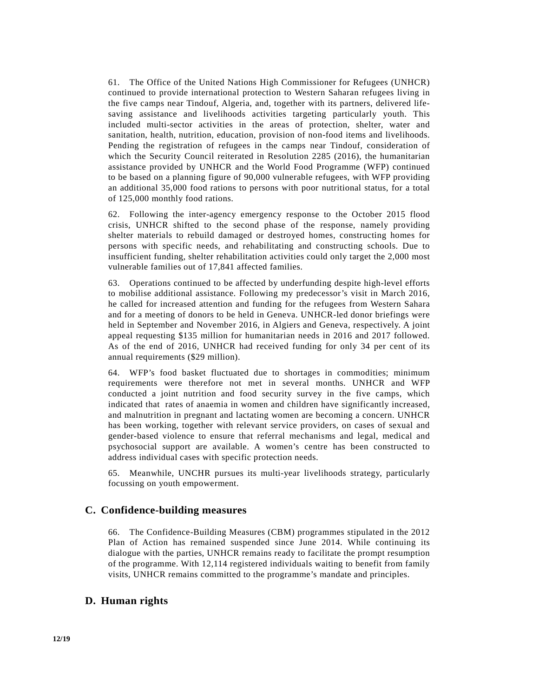61. The Office of the United Nations High Commissioner for Refugees (UNHCR) continued to provide international protection to Western Saharan refugees living in the five camps near Tindouf, Algeria, and, together with its partners, delivered lifesaving assistance and livelihoods activities targeting particularly youth. This included multi-sector activities in the areas of protection, shelter, water and sanitation, health, nutrition, education, provision of non-food items and livelihoods. Pending the registration of refugees in the camps near Tindouf, consideration of which the Security Council reiterated in Resolution 2285 (2016), the humanitarian assistance provided by UNHCR and the World Food Programme (WFP) continued to be based on a planning figure of 90,000 vulnerable refugees, with WFP providing an additional 35,000 food rations to persons with poor nutritional status, for a total of 125,000 monthly food rations.

62. Following the inter-agency emergency response to the October 2015 flood crisis, UNHCR shifted to the second phase of the response, namely providing shelter materials to rebuild damaged or destroyed homes, constructing homes for persons with specific needs, and rehabilitating and constructing schools. Due to insufficient funding, shelter rehabilitation activities could only target the 2,000 most vulnerable families out of 17,841 affected families.

63. Operations continued to be affected by underfunding despite high-level efforts to mobilise additional assistance. Following my predecessor's visit in March 2016, he called for increased attention and funding for the refugees from Western Sahara and for a meeting of donors to be held in Geneva. UNHCR-led donor briefings were held in September and November 2016, in Algiers and Geneva, respectively. A joint appeal requesting \$135 million for humanitarian needs in 2016 and 2017 followed. As of the end of 2016, UNHCR had received funding for only 34 per cent of its annual requirements (\$29 million).

64. WFP's food basket fluctuated due to shortages in commodities; minimum requirements were therefore not met in several months. UNHCR and WFP conducted a joint nutrition and food security survey in the five camps, which indicated that rates of anaemia in women and children have significantly increased, and malnutrition in pregnant and lactating women are becoming a concern. UNHCR has been working, together with relevant service providers, on cases of sexual and gender-based violence to ensure that referral mechanisms and legal, medical and psychosocial support are available. A women's centre has been constructed to address individual cases with specific protection needs.

65. Meanwhile, UNCHR pursues its multi-year livelihoods strategy, particularly focussing on youth empowerment.

#### **C. Confidence-building measures**

66. The Confidence-Building Measures (CBM) programmes stipulated in the 2012 Plan of Action has remained suspended since June 2014. While continuing its dialogue with the parties, UNHCR remains ready to facilitate the prompt resumption of the programme. With 12,114 registered individuals waiting to benefit from family visits, UNHCR remains committed to the programme's mandate and principles.

#### **D. Human rights**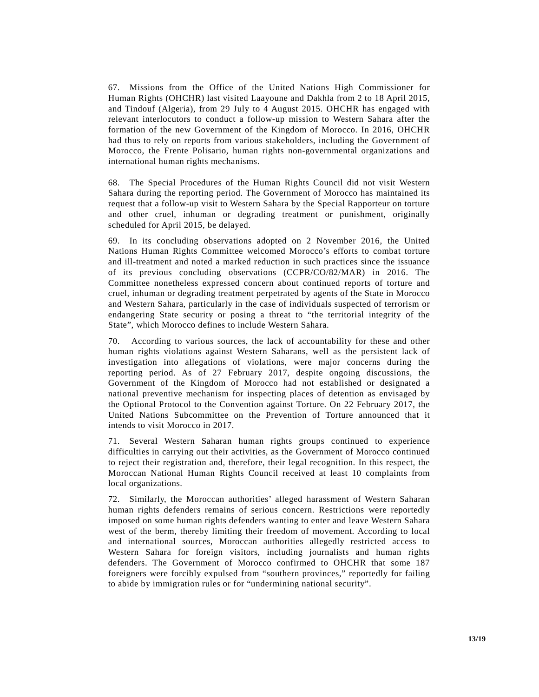67. Missions from the Office of the United Nations High Commissioner for Human Rights (OHCHR) last visited Laayoune and Dakhla from 2 to 18 April 2015, and Tindouf (Algeria), from 29 July to 4 August 2015. OHCHR has engaged with relevant interlocutors to conduct a follow-up mission to Western Sahara after the formation of the new Government of the Kingdom of Morocco. In 2016, OHCHR had thus to rely on reports from various stakeholders, including the Government of Morocco, the Frente Polisario, human rights non-governmental organizations and international human rights mechanisms.

68. The Special Procedures of the Human Rights Council did not visit Western Sahara during the reporting period. The Government of Morocco has maintained its request that a follow-up visit to Western Sahara by the Special Rapporteur on torture and other cruel, inhuman or degrading treatment or punishment, originally scheduled for April 2015, be delayed.

69. In its concluding observations adopted on 2 November 2016, the United Nations Human Rights Committee welcomed Morocco's efforts to combat torture and ill-treatment and noted a marked reduction in such practices since the issuance of its previous concluding observations (CCPR/CO/82/MAR) in 2016. The Committee nonetheless expressed concern about continued reports of torture and cruel, inhuman or degrading treatment perpetrated by agents of the State in Morocco and Western Sahara, particularly in the case of individuals suspected of terrorism or endangering State security or posing a threat to "the territorial integrity of the State", which Morocco defines to include Western Sahara.

70. According to various sources, the lack of accountability for these and other human rights violations against Western Saharans, well as the persistent lack of investigation into allegations of violations, were major concerns during the reporting period. As of 27 February 2017, despite ongoing discussions, the Government of the Kingdom of Morocco had not established or designated a national preventive mechanism for inspecting places of detention as envisaged by the Optional Protocol to the Convention against Torture. On 22 February 2017, the United Nations Subcommittee on the Prevention of Torture announced that it intends to visit Morocco in 2017.

71. Several Western Saharan human rights groups continued to experience difficulties in carrying out their activities, as the Government of Morocco continued to reject their registration and, therefore, their legal recognition. In this respect, the Moroccan National Human Rights Council received at least 10 complaints from local organizations.

72. Similarly, the Moroccan authorities' alleged harassment of Western Saharan human rights defenders remains of serious concern. Restrictions were reportedly imposed on some human rights defenders wanting to enter and leave Western Sahara west of the berm, thereby limiting their freedom of movement. According to local and international sources, Moroccan authorities allegedly restricted access to Western Sahara for foreign visitors, including journalists and human rights defenders. The Government of Morocco confirmed to OHCHR that some 187 foreigners were forcibly expulsed from "southern provinces," reportedly for failing to abide by immigration rules or for "undermining national security".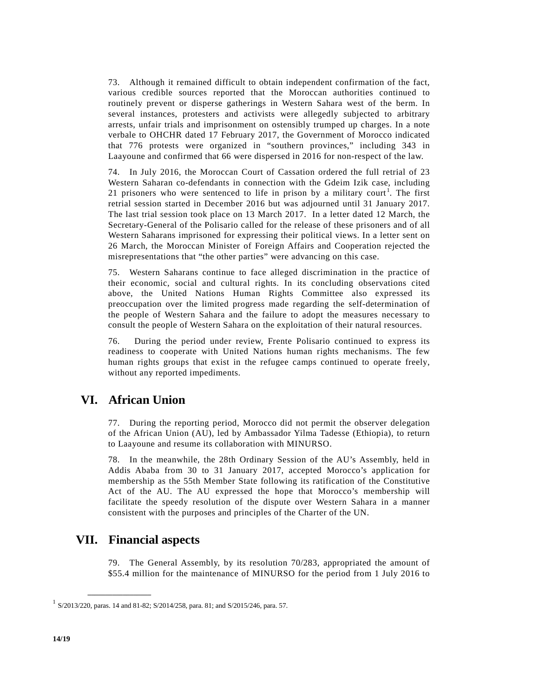73. Although it remained difficult to obtain independent confirmation of the fact, various credible sources reported that the Moroccan authorities continued to routinely prevent or disperse gatherings in Western Sahara west of the berm. In several instances, protesters and activists were allegedly subjected to arbitrary arrests, unfair trials and imprisonment on ostensibly trumped up charges. In a note verbale to OHCHR dated 17 February 2017, the Government of Morocco indicated that 776 protests were organized in "southern provinces," including 343 in Laayoune and confirmed that 66 were dispersed in 2016 for non-respect of the law.

74. In July 2016, the Moroccan Court of Cassation ordered the full retrial of 23 Western Saharan co-defendants in connection with the Gdeim Izik case, including 2[1](#page-14-0) prisoners who were sentenced to life in prison by a military court<sup>1</sup>. The first retrial session started in December 2016 but was adjourned until 31 January 2017. The last trial session took place on 13 March 2017. In a letter dated 12 March, the Secretary-General of the Polisario called for the release of these prisoners and of all Western Saharans imprisoned for expressing their political views. In a letter sent on 26 March, the Moroccan Minister of Foreign Affairs and Cooperation rejected the misrepresentations that "the other parties" were advancing on this case.

75. Western Saharans continue to face alleged discrimination in the practice of their economic, social and cultural rights. In its concluding observations cited above, the United Nations Human Rights Committee also expressed its preoccupation over the limited progress made regarding the self-determination of the people of Western Sahara and the failure to adopt the measures necessary to consult the people of Western Sahara on the exploitation of their natural resources.

76. During the period under review, Frente Polisario continued to express its readiness to cooperate with United Nations human rights mechanisms. The few human rights groups that exist in the refugee camps continued to operate freely, without any reported impediments.

### **VI. African Union**

77. During the reporting period, Morocco did not permit the observer delegation of the African Union (AU), led by Ambassador Yilma Tadesse (Ethiopia), to return to Laayoune and resume its collaboration with MINURSO.

78. In the meanwhile, the 28th Ordinary Session of the AU's Assembly, held in Addis Ababa from 30 to 31 January 2017, accepted Morocco's application for membership as the 55th Member State following its ratification of the Constitutive Act of the AU. The AU expressed the hope that Morocco's membership will facilitate the speedy resolution of the dispute over Western Sahara in a manner consistent with the purposes and principles of the Charter of the UN.

### **VII. Financial aspects**

**\_\_\_\_\_\_\_\_\_\_\_\_\_\_\_\_\_\_**

79. The General Assembly, by its resolution 70/283, appropriated the amount of \$55.4 million for the maintenance of MINURSO for the period from 1 July 2016 to

<span id="page-14-0"></span><sup>1</sup> S/2013/220, paras. 14 and 81-82; S/2014/258, para. 81; and S/2015/246, para. 57.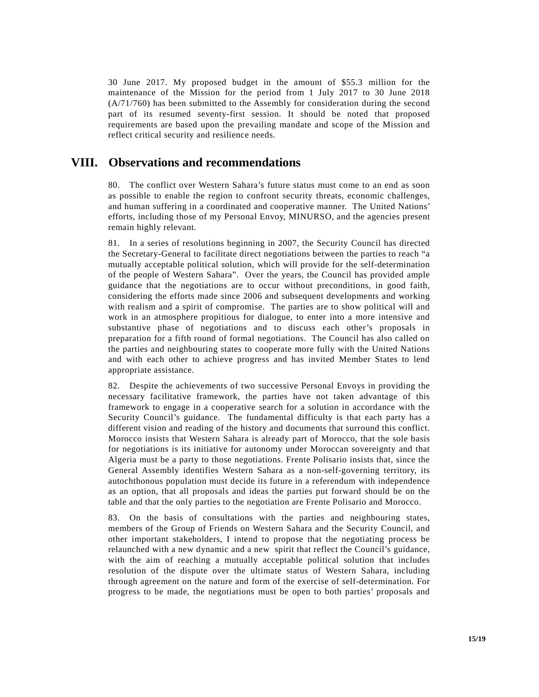30 June 2017. My proposed budget in the amount of \$55.3 million for the maintenance of the Mission for the period from 1 July 2017 to 30 June 2018 [\(A/71/760\)](http://undocs.org/A/70/696) has been submitted to the Assembly for consideration during the second part of its resumed seventy-first session. It should be noted that proposed requirements are based upon the prevailing mandate and scope of the Mission and reflect critical security and resilience needs.

### **VIII. Observations and recommendations**

80. The conflict over Western Sahara's future status must come to an end as soon as possible to enable the region to confront security threats, economic challenges, and human suffering in a coordinated and cooperative manner. The United Nations' efforts, including those of my Personal Envoy, MINURSO, and the agencies present remain highly relevant.

81. In a series of resolutions beginning in 2007, the Security Council has directed the Secretary-General to facilitate direct negotiations between the parties to reach "a mutually acceptable political solution, which will provide for the self-determination of the people of Western Sahara". Over the years, the Council has provided ample guidance that the negotiations are to occur without preconditions, in good faith, considering the efforts made since 2006 and subsequent developments and working with realism and a spirit of compromise. The parties are to show political will and work in an atmosphere propitious for dialogue, to enter into a more intensive and substantive phase of negotiations and to discuss each other's proposals in preparation for a fifth round of formal negotiations. The Council has also called on the parties and neighbouring states to cooperate more fully with the United Nations and with each other to achieve progress and has invited Member States to lend appropriate assistance.

82. Despite the achievements of two successive Personal Envoys in providing the necessary facilitative framework, the parties have not taken advantage of this framework to engage in a cooperative search for a solution in accordance with the Security Council's guidance. The fundamental difficulty is that each party has a different vision and reading of the history and documents that surround this conflict. Morocco insists that Western Sahara is already part of Morocco, that the sole basis for negotiations is its initiative for autonomy under Moroccan sovereignty and that Algeria must be a party to those negotiations. Frente Polisario insists that, since the General Assembly identifies Western Sahara as a non-self-governing territory, its autochthonous population must decide its future in a referendum with independence as an option, that all proposals and ideas the parties put forward should be on the table and that the only parties to the negotiation are Frente Polisario and Morocco.

83. On the basis of consultations with the parties and neighbouring states, members of the Group of Friends on Western Sahara and the Security Council, and other important stakeholders, I intend to propose that the negotiating process be relaunched with a new dynamic and a new spirit that reflect the Council's guidance, with the aim of reaching a mutually acceptable political solution that includes resolution of the dispute over the ultimate status of Western Sahara, including through agreement on the nature and form of the exercise of self-determination. For progress to be made, the negotiations must be open to both parties' proposals and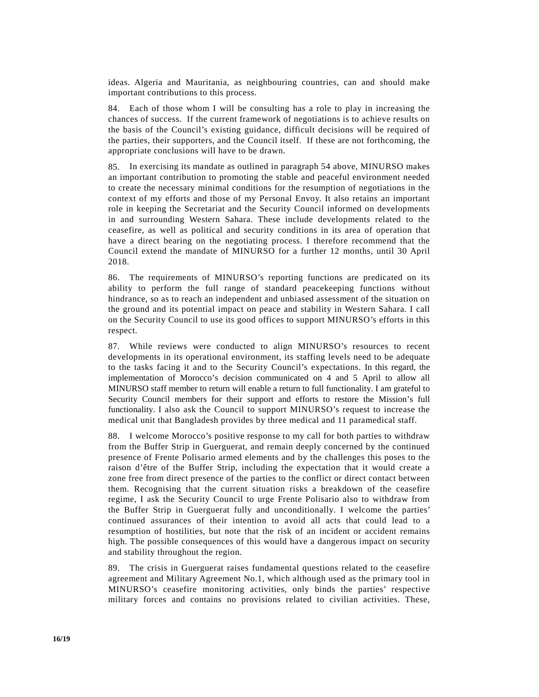ideas. Algeria and Mauritania, as neighbouring countries, can and should make important contributions to this process.

84. Each of those whom I will be consulting has a role to play in increasing the chances of success. If the current framework of negotiations is to achieve results on the basis of the Council's existing guidance, difficult decisions will be required of the parties, their supporters, and the Council itself. If these are not forthcoming, the appropriate conclusions will have to be drawn.

85. In exercising its mandate as outlined in paragraph 54 above, MINURSO makes an important contribution to promoting the stable and peaceful environment needed to create the necessary minimal conditions for the resumption of negotiations in the context of my efforts and those of my Personal Envoy. It also retains an important role in keeping the Secretariat and the Security Council informed on developments in and surrounding Western Sahara. These include developments related to the ceasefire, as well as political and security conditions in its area of operation that have a direct bearing on the negotiating process. I therefore recommend that the Council extend the mandate of MINURSO for a further 12 months, until 30 April 2018.

86. The requirements of MINURSO's reporting functions are predicated on its ability to perform the full range of standard peacekeeping functions without hindrance, so as to reach an independent and unbiased assessment of the situation on the ground and its potential impact on peace and stability in Western Sahara. I call on the Security Council to use its good offices to support MINURSO's efforts in this respect.

87. While reviews were conducted to align MINURSO's resources to recent developments in its operational environment, its staffing levels need to be adequate to the tasks facing it and to the Security Council's expectations. In this regard, the implementation of Morocco's decision communicated on 4 and 5 April to allow all MINURSO staff member to return will enable a return to full functionality. I am grateful to Security Council members for their support and efforts to restore the Mission's full functionality. I also ask the Council to support MINURSO's request to increase the medical unit that Bangladesh provides by three medical and 11 paramedical staff.

88. I welcome Morocco's positive response to my call for both parties to withdraw from the Buffer Strip in Guerguerat, and remain deeply concerned by the continued presence of Frente Polisario armed elements and by the challenges this poses to the raison d'être of the Buffer Strip, including the expectation that it would create a zone free from direct presence of the parties to the conflict or direct contact between them. Recognising that the current situation risks a breakdown of the ceasefire regime, I ask the Security Council to urge Frente Polisario also to withdraw from the Buffer Strip in Guerguerat fully and unconditionally. I welcome the parties' continued assurances of their intention to avoid all acts that could lead to a resumption of hostilities, but note that the risk of an incident or accident remains high. The possible consequences of this would have a dangerous impact on security and stability throughout the region.

89. The crisis in Guerguerat raises fundamental questions related to the ceasefire agreement and Military Agreement No.1, which although used as the primary tool in MINURSO's ceasefire monitoring activities, only binds the parties' respective military forces and contains no provisions related to civilian activities. These,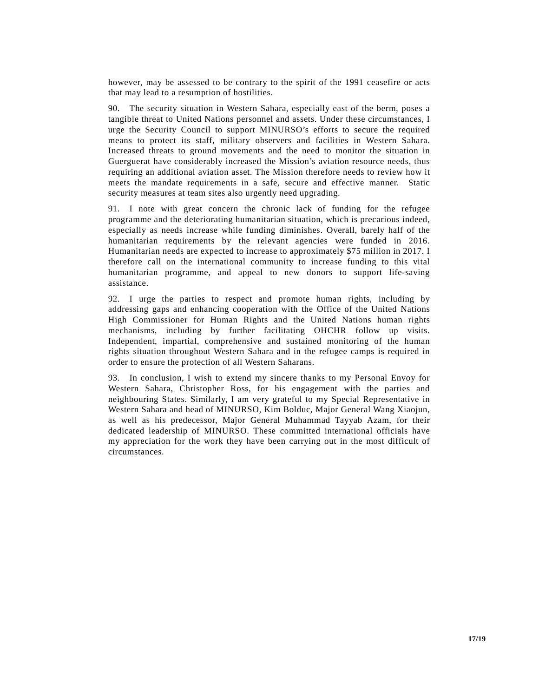however, may be assessed to be contrary to the spirit of the 1991 ceasefire or acts that may lead to a resumption of hostilities.

90. The security situation in Western Sahara, especially east of the berm, poses a tangible threat to United Nations personnel and assets. Under these circumstances, I urge the Security Council to support MINURSO's efforts to secure the required means to protect its staff, military observers and facilities in Western Sahara. Increased threats to ground movements and the need to monitor the situation in Guerguerat have considerably increased the Mission's aviation resource needs, thus requiring an additional aviation asset. The Mission therefore needs to review how it meets the mandate requirements in a safe, secure and effective manner. Static security measures at team sites also urgently need upgrading.

91. I note with great concern the chronic lack of funding for the refugee programme and the deteriorating humanitarian situation, which is precarious indeed, especially as needs increase while funding diminishes. Overall, barely half of the humanitarian requirements by the relevant agencies were funded in 2016. Humanitarian needs are expected to increase to approximately \$75 million in 2017. I therefore call on the international community to increase funding to this vital humanitarian programme, and appeal to new donors to support life-saving assistance.

92. I urge the parties to respect and promote human rights, including by addressing gaps and enhancing cooperation with the Office of the United Nations High Commissioner for Human Rights and the United Nations human rights mechanisms, including by further facilitating OHCHR follow up visits. Independent, impartial, comprehensive and sustained monitoring of the human rights situation throughout Western Sahara and in the refugee camps is required in order to ensure the protection of all Western Saharans.

93. In conclusion, I wish to extend my sincere thanks to my Personal Envoy for Western Sahara, Christopher Ross, for his engagement with the parties and neighbouring States. Similarly, I am very grateful to my Special Representative in Western Sahara and head of MINURSO, Kim Bolduc, Major General Wang Xiaojun, as well as his predecessor, Major General Muhammad Tayyab Azam, for their dedicated leadership of MINURSO. These committed international officials have my appreciation for the work they have been carrying out in the most difficult of circumstances.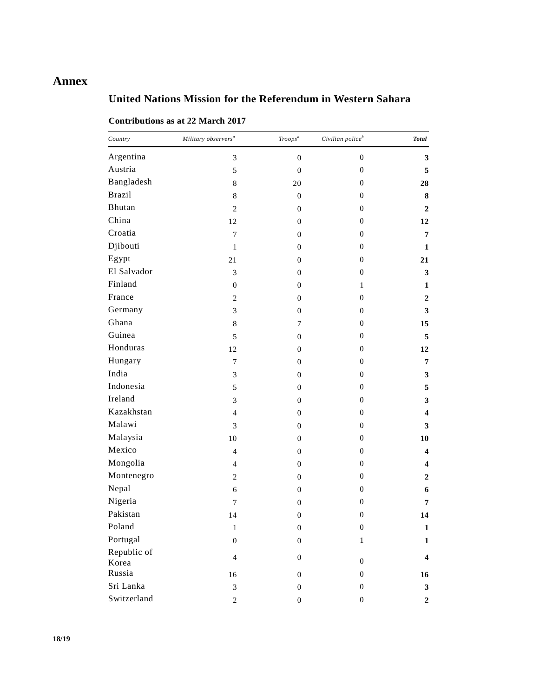# **Annex**

# **United Nations Mission for the Referendum in Western Sahara**

| Country              | Military observers $\real^a$ | Troops <sup>a</sup> | Civilian police $^b$ | <b>Total</b>            |
|----------------------|------------------------------|---------------------|----------------------|-------------------------|
| Argentina            | $\mathfrak{Z}$               | $\boldsymbol{0}$    | $\boldsymbol{0}$     | $\mathbf{3}$            |
| Austria              | 5                            | $\boldsymbol{0}$    | $\boldsymbol{0}$     | 5                       |
| Bangladesh           | $\,$ 8 $\,$                  | 20                  | $\boldsymbol{0}$     | 28                      |
| <b>Brazil</b>        | $\,8\,$                      | $\boldsymbol{0}$    | $\mathbf{0}$         | ${\bf 8}$               |
| Bhutan               | $\mathbf{2}$                 | $\boldsymbol{0}$    | $\boldsymbol{0}$     | $\boldsymbol{2}$        |
| China                | 12                           | $\boldsymbol{0}$    | $\boldsymbol{0}$     | 12                      |
| Croatia              | $\tau$                       | $\boldsymbol{0}$    | $\mathbf{0}$         | $\overline{7}$          |
| Djibouti             | $\mathbf{1}$                 | $\boldsymbol{0}$    | $\mathbf{0}$         | $\mathbf{1}$            |
| Egypt                | 21                           | $\boldsymbol{0}$    | $\boldsymbol{0}$     | 21                      |
| El Salvador          | 3                            | $\boldsymbol{0}$    | $\mathbf{0}$         | $\mathbf{3}$            |
| Finland              | $\mathbf{0}$                 | $\boldsymbol{0}$    | 1                    | $\mathbf{1}$            |
| France               | $\mathbf{2}$                 | $\boldsymbol{0}$    | $\mathbf{0}$         | $\boldsymbol{2}$        |
| Germany              | 3                            | $\boldsymbol{0}$    | $\mathbf{0}$         | $\mathbf{3}$            |
| Ghana                | $\,8\,$                      | 7                   | $\boldsymbol{0}$     | 15                      |
| Guinea               | 5                            | $\boldsymbol{0}$    | $\boldsymbol{0}$     | 5                       |
| Honduras             | 12                           | $\boldsymbol{0}$    | $\boldsymbol{0}$     | 12                      |
| Hungary              | $\boldsymbol{7}$             | $\boldsymbol{0}$    | $\mathbf{0}$         | $\overline{7}$          |
| India                | $\ensuremath{\mathfrak{Z}}$  | $\boldsymbol{0}$    | $\boldsymbol{0}$     | $\mathbf{3}$            |
| Indonesia            | 5                            | $\boldsymbol{0}$    | $\mathbf{0}$         | $\sqrt{5}$              |
| Ireland              | 3                            | $\boldsymbol{0}$    | $\boldsymbol{0}$     | $\mathbf{3}$            |
| Kazakhstan           | $\overline{4}$               | $\boldsymbol{0}$    | $\boldsymbol{0}$     | $\overline{\mathbf{4}}$ |
| Malawi               | 3                            | $\boldsymbol{0}$    | $\mathbf{0}$         | $\mathbf{3}$            |
| Malaysia             | 10                           | $\boldsymbol{0}$    | $\mathbf{0}$         | 10                      |
| Mexico               | $\overline{4}$               | $\boldsymbol{0}$    | $\mathbf{0}$         | 4                       |
| Mongolia             | $\overline{4}$               | $\boldsymbol{0}$    | $\boldsymbol{0}$     | 4                       |
| Montenegro           | $\mathbf{2}$                 | $\boldsymbol{0}$    | $\mathbf{0}$         | $\boldsymbol{2}$        |
| Nepal                | 6                            | $\boldsymbol{0}$    | $\boldsymbol{0}$     | 6                       |
| Nigeria              | $\overline{7}$               | $\boldsymbol{0}$    | $\boldsymbol{0}$     | 7                       |
| Pakistan             | 14                           | $\boldsymbol{0}$    | $\boldsymbol{0}$     | 14                      |
| Poland               | 1                            | $\theta$            | $\boldsymbol{0}$     | 1                       |
| Portugal             | $\boldsymbol{0}$             | $\boldsymbol{0}$    | $\mathbf{1}$         | $\mathbf{1}$            |
| Republic of<br>Korea | $\overline{4}$               | $\boldsymbol{0}$    | $\boldsymbol{0}$     | $\overline{\mathbf{4}}$ |
| Russia               | 16                           | $\boldsymbol{0}$    | $\boldsymbol{0}$     | 16                      |
| Sri Lanka            | $\mathfrak{Z}$               | $\boldsymbol{0}$    | $\boldsymbol{0}$     | $\mathbf{3}$            |
| Switzerland          | $\sqrt{2}$                   | $\boldsymbol{0}$    | $\boldsymbol{0}$     | $\boldsymbol{2}$        |

### **Contributions as at 22 March 2017**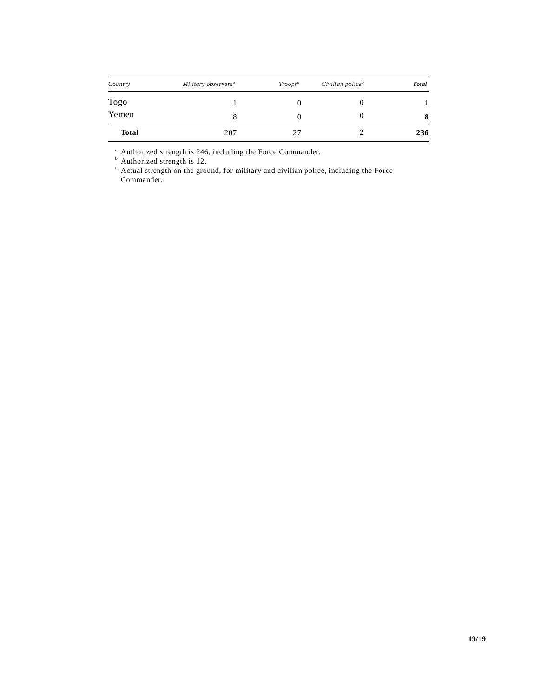| Country      | Military observers <sup>a</sup> | $Troops^a$ | Civilian police <sup>b</sup> | <b>Total</b> |
|--------------|---------------------------------|------------|------------------------------|--------------|
| Togo         |                                 |            |                              |              |
| Yemen        |                                 |            |                              | 8            |
| <b>Total</b> | 207                             | 27         |                              | 236          |

<sup>a</sup> Authorized strength is 246, including the Force Commander.

<sup>b</sup> Authorized strength is 12.

 $c$  Actual strength on the ground, for military and civilian police, including the Force Commander.